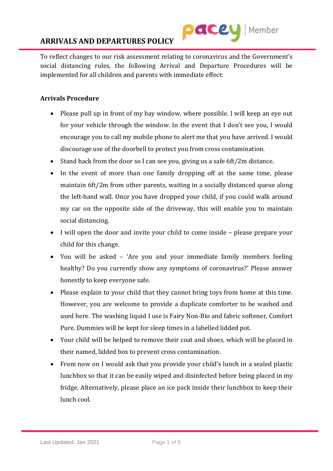

To reflect changes to our risk assessment relating to coronavirus and the Government's social distancing rules, the following Arrival and Departure Procedures will be implemented for all children and parents with immediate effect:

# **Arrivals Procedure**

- Please pull up in front of my bay window, where possible. I will keep an eye out for your vehicle through the window. In the event that I don't see you, I would encourage you to call my mobile phone to alert me that you have arrived. I would discourage use of the doorbell to protect you from cross contamination.
- Stand back from the door so I can see you, giving us a safe 6ft/2m distance.
- In the event of more than one family dropping off at the same time, please maintain 6ft/2m from other parents, waiting in a socially distanced queue along the left-hand wall. Once you have dropped your child, if you could walk around my car on the opposite side of the driveway, this will enable you to maintain social distancing.
- I will open the door and invite your child to come inside please prepare your child for this change.
- You will be asked 'Are you and your immediate family members feeling healthy? Do you currently show any symptoms of coronavirus?' Please answer honestly to keep everyone safe.
- Please explain to your child that they cannot bring toys from home at this time. However, you are welcome to provide a duplicate comforter to be washed and used here. The washing liquid I use is Fairy Non-Bio and fabric softener, Comfort Pure. Dummies will be kept for sleep times in a labelled lidded pot.
- Your child will be helped to remove their coat and shoes, which will be placed in their named, lidded box to prevent cross contamination.
- From now on I would ask that you provide your child's lunch in a sealed plastic lunchbox so that it can be easily wiped and disinfected before being placed in my fridge. Alternatively, please place an ice pack inside their lunchbox to keep their lunch cool.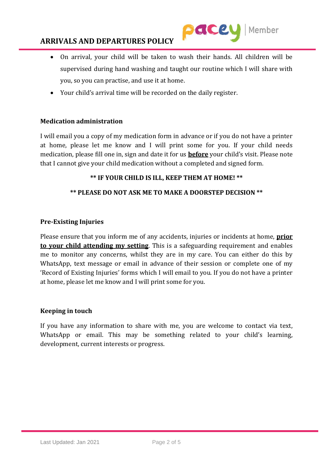

- On arrival, your child will be taken to wash their hands. All children will be supervised during hand washing and taught our routine which I will share with you, so you can practise, and use it at home.
- Your child's arrival time will be recorded on the daily register.

# **Medication administration**

I will email you a copy of my medication form in advance or if you do not have a printer at home, please let me know and I will print some for you. If your child needs medication, please fill one in, sign and date it for us **before** your child's visit. Please note that I cannot give your child medication without a completed and signed form.

## **\*\* IF YOUR CHILD IS ILL, KEEP THEM AT HOME! \*\***

## **\*\* PLEASE DO NOT ASK ME TO MAKE A DOORSTEP DECISION \*\***

## **Pre-Existing Injuries**

Please ensure that you inform me of any accidents, injuries or incidents at home, **prior to your child attending my setting**. This is a safeguarding requirement and enables me to monitor any concerns, whilst they are in my care. You can either do this by WhatsApp, text message or email in advance of their session or complete one of my 'Record of Existing Injuries' forms which I will email to you. If you do not have a printer at home, please let me know and I will print some for you.

#### **Keeping in touch**

If you have any information to share with me, you are welcome to contact via text, WhatsApp or email. This may be something related to your child's learning, development, current interests or progress.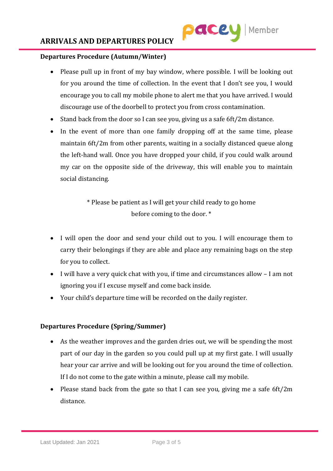

## **Departures Procedure (Autumn/Winter)**

- Please pull up in front of my bay window, where possible. I will be looking out for you around the time of collection. In the event that I don't see you, I would encourage you to call my mobile phone to alert me that you have arrived. I would discourage use of the doorbell to protect you from cross contamination.
- Stand back from the door so I can see you, giving us a safe 6ft/2m distance.
- In the event of more than one family dropping off at the same time, please maintain 6ft/2m from other parents, waiting in a socially distanced queue along the left-hand wall. Once you have dropped your child, if you could walk around my car on the opposite side of the driveway, this will enable you to maintain social distancing.

\* Please be patient as I will get your child ready to go home before coming to the door. \*

- I will open the door and send your child out to you. I will encourage them to carry their belongings if they are able and place any remaining bags on the step for you to collect.
- I will have a very quick chat with you, if time and circumstances allow I am not ignoring you if I excuse myself and come back inside.
- Your child's departure time will be recorded on the daily register.

# **Departures Procedure (Spring/Summer)**

- As the weather improves and the garden dries out, we will be spending the most part of our day in the garden so you could pull up at my first gate. I will usually hear your car arrive and will be looking out for you around the time of collection. If I do not come to the gate within a minute, please call my mobile.
- Please stand back from the gate so that I can see you, giving me a safe 6ft/2m distance.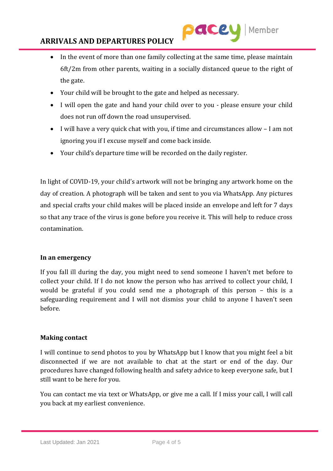

- In the event of more than one family collecting at the same time, please maintain 6ft/2m from other parents, waiting in a socially distanced queue to the right of the gate.
- Your child will be brought to the gate and helped as necessary.
- I will open the gate and hand your child over to you please ensure your child does not run off down the road unsupervised.
- I will have a very quick chat with you, if time and circumstances allow I am not ignoring you if I excuse myself and come back inside.
- Your child's departure time will be recorded on the daily register.

In light of COVID-19, your child's artwork will not be bringing any artwork home on the day of creation. A photograph will be taken and sent to you via WhatsApp. Any pictures and special crafts your child makes will be placed inside an envelope and left for 7 days so that any trace of the virus is gone before you receive it. This will help to reduce cross contamination.

# **In an emergency**

If you fall ill during the day, you might need to send someone I haven't met before to collect your child. If I do not know the person who has arrived to collect your child, I would be grateful if you could send me a photograph of this person – this is a safeguarding requirement and I will not dismiss your child to anyone I haven't seen before.

#### **Making contact**

I will continue to send photos to you by WhatsApp but I know that you might feel a bit disconnected if we are not available to chat at the start or end of the day. Our procedures have changed following health and safety advice to keep everyone safe, but I still want to be here for you.

You can contact me via text or WhatsApp, or give me a call. If I miss your call, I will call you back at my earliest convenience.

Last Updated: Jan 2021 Page 4 of 5